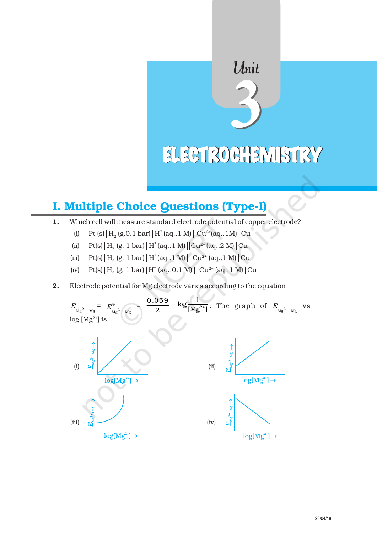# Unit ELECTROCHEMISTRY

# I. Multiple Choice Questions (Type-I)

- 1. Which cell will measure standard electrode potential of copper electrode?
	- (i) Pt (s)  $|H_2(g, 0.1 bar) |H^*(aq., 1 M) || Cu^{2*}(aq., 1 M) | Cu$
	- (ii) Pt(s)  $H_2$  (g, 1 bar)  $|H^*(aq., 1 M)|Cu^{2*}(aq., 2 M)|Cu$
	- (iii) Pt(s)  $|H_2(g, 1 bar) |H^*(aq., 1 M) || Cu^{2*}(aq., 1 M) | Cu$
	- (iv)  $Pt(s) | H_2(g, 1 bar) | H^*(aq., 0.1 M) || Cu^{2*}(aq., 1 M) | Cu$
- 2. Electrode potential for Mg electrode varies according to the equation

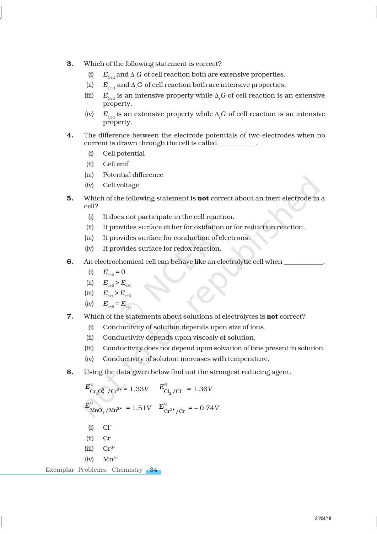- 3. Which of the following statement is correct?
	- (i)  $E_{\text{Cell}}$  and  $\Delta_r G$  of cell reaction both are extensive properties.
	- (ii)  $E_{\text{cell}}$  and  $\Delta_r G$  of cell reaction both are intensive properties.
	- (iii)  $E_{\text{cell}}$  is an intensive property while  $\Delta_r G$  of cell reaction is an extensive property.
	- (iv)  $E_{\text{cell}}$  is an extensive property while  $\Delta_r G$  of cell reaction is an intensive property.
- 4. The difference between the electrode potentials of two electrodes when no current is drawn through the cell is called \_
	- (i) Cell potential
	- (ii) Cell emf
	- (iii) Potential difference
	- (iv) Cell voltage
- 5. Which of the following statement is **not** correct about an inert electrode in a cell?
	- (i) It does not participate in the cell reaction.
	- (ii) It provides surface either for oxidation or for reduction reaction.
	- (iii) It provides surface for conduction of electrons.
	- (iv) It provides surface for redox reaction.
- 6. An electrochemical cell can behave like an electrolytic cell when \_\_\_\_\_\_\_\_\_\_\_.
	- (i)  $E_{\text{cell}} = 0$
	- (ii)  $E_{\text{cell}} > E_{\text{ext}}$
	- (iii)  $E_{\text{ext}} > E_{\text{cell}}$
	- $(iv)$   $E_{\text{cell}} = E_{\text{ext}}$
- 7. Which of the statements about solutions of electrolytes is **not** correct?
	- (i) Conductivity of solution depends upon size of ions.
	- (ii) Conductivity depends upon viscosiy of solution.
	- (iii) Conductivity does not depend upon solvation of ions present in solution.
	- (iv) Conductivity of solution increases with temperature.
- 8. Using the data given below find out the strongest reducing agent.

$$
E_{\text{Cr}_2\text{O}_7^2/\text{Cr}^{3+}}^{\circ} = 1.33V
$$
  $E_{\text{Cl}_2/\text{Cl}^-}^{\circ} = 1.36V$   
\n $E_{\text{MnO}_4^{\circ}/\text{Mn}^{2+}}^{\circ} = 1.51V$   $E_{\text{Cr}^{3+}/\text{Cr}}^{\circ} = -0.74V$   
\n(i) Cl  
\n(ii) Cl  
\n(iii) Cr  
\n(iiii) Cr<sup>3+</sup>  
\n(iv) Mn<sup>2+</sup>  
\nExemplar Problems. Chemistry **34**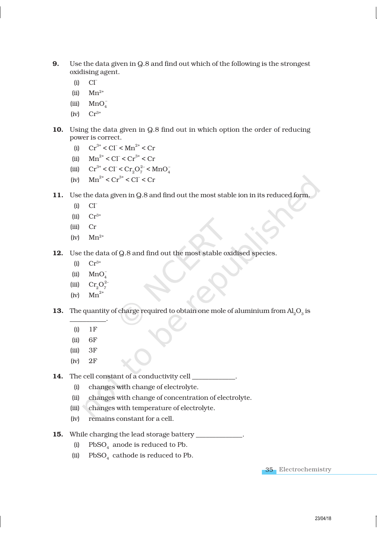- 9. Use the data given in Q.8 and find out which of the following is the strongest oxidising agent.
	- $(i)$   $Cl<sup>-</sup>$
	- $(iii)$   $Mn^{2+}$
	- (iii)  $MnO<sub>4</sub>$
	- $(iv)$   $Cr^{3+}$
- 10. Using the data given in Q.8 find out in which option the order of reducing power is correct.
	- (i)  $Cr^{3+} < CI^{-} < Mn^{2+} < Cr$
	- (ii)  $\text{Mn}^{2+} < \text{CI}^- < \text{Cr}^{3+} < \text{Cr}$
	- (iii)  $Cr^{3+} < Cl^- < Cr_2O_7^{2-} < MnO_4^-$
	- (iv)  $\text{Mn}^{2+} < \text{Cr}^{3+} < \text{Cl}^{-} < \text{Cr}$
- 11. Use the data given in Q.8 and find out the most stable ion in its reduced form.
	- $(i)$   $Cl<sup>-</sup>$
	- $(ii)$   $Cr^{3+}$
	- (iii) Cr
	- $(iv)$   $Mn^{2+}$
- 12. Use the data of Q.8 and find out the most stable oxidised species.
	- (i)  $Cr^{3+}$
	- $(iii)$  MnC –
	- $(iii)$ 2–
	- (iv)  $Mn^2$

**13.** The quantity of charge required to obtain one mole of aluminium from  $\text{Al}_2\text{O}_3$  is

- \_\_\_\_\_\_\_\_\_\_\_. (i) 1F
- (ii) 6F
- $(iii)$  3F
- (iv) 2F

14. The cell constant of a conductivity cell \_\_\_\_\_\_\_\_\_\_\_\_\_.

- (i) changes with change of electrolyte.
- (ii) changes with change of concentration of electrolyte.
- (iii) changes with temperature of electrolyte.
- (iv) remains constant for a cell.
- 15. While charging the lead storage battery \_
	- (i)  $PbSO_4$  anode is reduced to Pb.
	- (ii)  $PbSO_4$  cathode is reduced to Pb.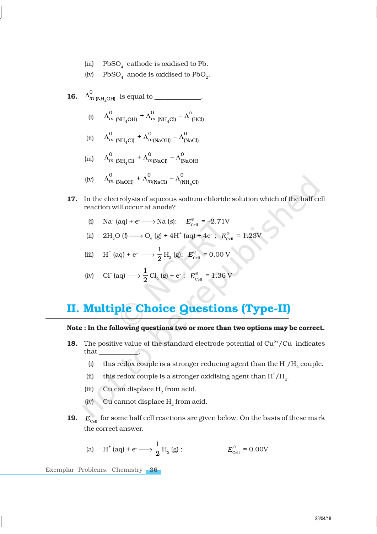(iii)  $PbSO_4$  cathode is oxidised to Pb.

(iv) PbSO<sub>4</sub> anode is oxidised to  $PbO_2$ .

- **16.**  $\Lambda_{m \text{ (NH}_4)}$  $\Lambda_{m\text{ (NH}_4\text{OH})}^0$  is equal to \_\_\_\_\_\_\_\_\_\_\_\_\_.
	- (i)  $\Lambda_{m \text{ (NH}_4\text{OH})} + \Lambda_{m \text{ (NH}_4)}$  $\Lambda_{m\text{ (NH}_4\text{OH)}}^0$  +  $\Lambda_{m\text{ (NH}_4\text{Cl)}}^0$  –  $\Lambda_{\text{ (HCl)}}^0$
	- (ii)  $\Lambda_{m}$  (NH<sub>4</sub>  $\Lambda_{m\text{ (NH}_4\text{Cl)}}^0 + \Lambda_{m\text{(NaOH)}}^0 - \Lambda_{\text{(NaCl)}}^0$
	- (iii)  $\Lambda_{m}$  (NH<sub>4</sub>  $\Lambda_{m\text{ (NH}_4\text{Cl)}}^0 + \Lambda_{m\text{(NaCl)}}^0 - \Lambda_{\text{(NaOH)}}^0$
	- (iv)  $\Lambda_{m \text{ (NaOH)}} + \Lambda_{m \text{ (NaCl)}} \Lambda_{\text{(NH}_4)}$  $\Lambda_{m\text{ (NaOH)}}^0$  +  $\Lambda_{m\text{(NaCl)}}^0$  –  $\Lambda_{\text{(NH}_4\text{Cl)}}^0$
- 17. In the electrolysis of aqueous sodium chloride solution which of the half cell reaction will occur at anode?
	- (i) Na<sup>+</sup> (aq) + e<sup>-</sup>  $\longrightarrow$  Na (s);  $E_{\text{cell}}^{\circ} = -2.71$ V
	- (ii)  $2H_2O(l) \longrightarrow O_2(g) + 4H^+(aq) + 4e^-$ ;  $E_{cell}^{\circ} = 1.23V$

(iii) 
$$
H^+(aq) + e^- \longrightarrow \frac{1}{2} H_2(g); E_{cell}^{\circ} = 0.00 \text{ V}
$$

(iv) Cl (aq) 
$$
\longrightarrow \frac{1}{2}
$$
 Cl<sub>2</sub> (g) + e<sup>-</sup>;  $E_{\text{cell}}^{\circ} = 1.36$  V

# II. Multiple Choice Questions (Type-II)

### Note : In the following questions two or more than two options may be correct.

- **18.** The positive value of the standard electrode potential of  $Cu<sup>2+</sup>/Cu$  indicates that \_\_\_\_\_\_\_\_\_\_\_\_.
	- (i) this redox couple is a stronger reducing agent than the  $H^*/H_{2}$  couple.
	- (ii) this redox couple is a stronger oxidising agent than  $H^{\dagger}/H_2$ .
	- (iii) Cu can displace  $H_2$  from acid.
	- (iv) Cu cannot displace  $H_2$  from acid.
- 19.  $E_{\text{cell}}^{\odot}$  for some half cell reactions are given below. On the basis of these mark the correct answer.

(a) 
$$
H^+(aq) + e^- \longrightarrow \frac{1}{2} H_2(g)
$$
;  $E_{cell}^{\circ} = 0.00V$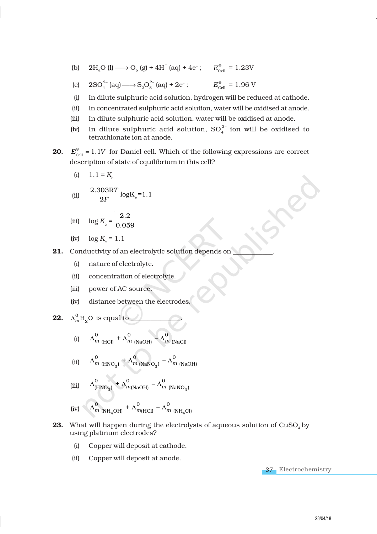(b)  $2H_2O(l) \longrightarrow O_2(g) + 4H^+(aq) + 4e^-;$   $E_{cell}^{\circ} = 1.23V$ 

(c) 
$$
2SO_4^{2-}
$$
 (aq)  $\longrightarrow$   $S_2O_8^{2-}$  (aq) + 2e<sup>-</sup>;  $E_{cell}^{\circ} = 1.96$  V

- (i) In dilute sulphuric acid solution, hydrogen will be reduced at cathode.
- (ii) In concentrated sulphuric acid solution, water will be oxidised at anode.
- (iii) In dilute sulphuric acid solution, water will be oxidised at anode.
- (iv) In dilute sulphuric acid solution,  $SO_4^{2-}$  ion will be oxidised to tetrathionate ion at anode.
- 20.  $E_{\text{cell}}^{\ominus} = 1.1V$  for Daniel cell. Which of the following expressions are correct description of state of equilibrium in this cell?

$$
(i) \qquad 1.1 = K_c
$$

(ii) 
$$
\frac{2.303RT}{2F} \log K_c = 1.1
$$

(iii) 
$$
\log K_c = \frac{2.2}{0.059}
$$

- (iv)  $\log K_c = 1.1$
- 21. Conductivity of an electrolytic solution depends on
	- (i) nature of electrolyte.
	- (ii) concentration of electrolyte.
	- (iii) power of AC source.
	- (iv) distance between the electrodes.

**22.** 
$$
\Lambda_m^0 H_2 O
$$
 is equal to

(i)  $\Lambda_m^0$  (HCl)  $+\Lambda_m^0$  (NaOH)  $-\Lambda_m^0$  (NaCl)

(ii) 
$$
\Lambda_{m\text{ (HNO}_3)}^0 + \Lambda_{m\text{ (NaNO}_3)}^0 - \Lambda_{m\text{ (NaOH)}}
$$

(iii) 
$$
\Lambda_{\textrm{(HNO3)}}^{0} + \Lambda_{m(\textrm{NaOH})}^{0} - \Lambda_{m(\textrm{NaNO3)}}^{0}
$$

- (iv)  $4^{011}$   $1^{1101}$   $1^{111}$  $\Lambda_{m\text{ (NH}_4\text{OH)}}^0$  +  $\Lambda_{m(\text{HCl})}^0$  –  $\Lambda_{m\text{ (NH}_4\text{Cl)}}^0$
- **23.** What will happen during the electrolysis of aqueous solution of  $CuSO<sub>4</sub>$  by using platinum electrodes?
	- (i) Copper will deposit at cathode.
	- (ii) Copper will deposit at anode.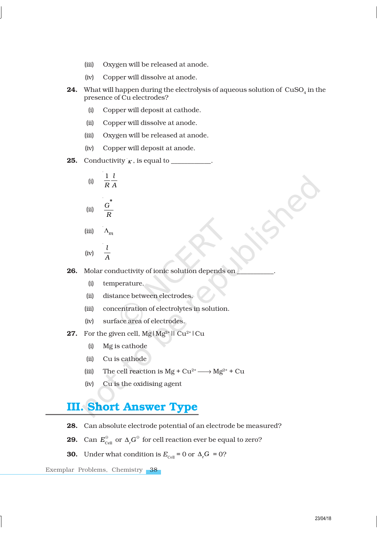- (iii) Oxygen will be released at anode.
- (iv) Copper will dissolve at anode.
- **24.** What will happen during the electrolysis of aqueous solution of  $\,{\rm CuSO}_{_4}\,{\rm in}\,$  the presence of Cu electrodes?
	- (i) Copper will deposit at cathode.
	- (ii) Copper will dissolve at anode.
	- (iii) Oxygen will be released at anode.
	- (iv) Copper will deposit at anode.
- **25.** Conductivity  $\kappa$ , is equal to \_\_\_\_\_\_\_\_\_.

$$
(i) \quad \frac{1}{R} \frac{l}{A}
$$

(ii) 
$$
\frac{G^*}{R}
$$

$$
(iii) \qquad \Lambda_m
$$

$$
(iv) \quad \frac{l}{A}
$$

26. Molar conductivity of ionic solution depends on

- (i) temperature.
- (ii) distance between electrodes.
- (iii) concentration of electrolytes in solution.
- (iv) surface area of electrodes.
- **27.** For the given cell,  $Mg/Mg^{2+}$ || Cu<sup>2+</sup>|Cu
	- (i) Mg is cathode
	- (ii) Cu is cathode
	- (iii) The cell reaction is  $Mg + Cu^{2+} \longrightarrow Mg^{2+} + Cu$
	- (iv) Cu is the oxidising agent

# III. Short Answer Type

- 28. Can absolute electrode potential of an electrode be measured?
- **29.** Can  $E_{\text{cell}}^{\ominus}$  or  $\Delta_r G^{\ominus}$  for cell reaction ever be equal to zero?
- **30.** Under what condition is  $E_{\text{cell}} = 0$  or  $\Delta_r G = 0$ ?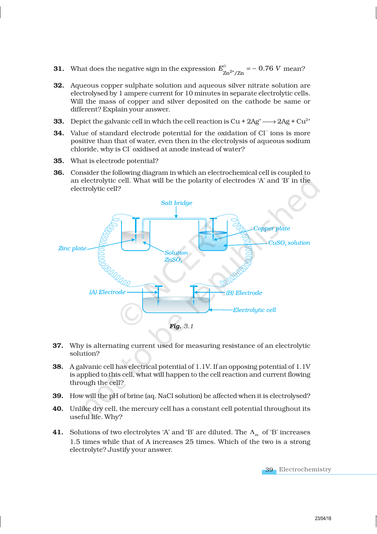- **31.** What does the negative sign in the expression  $E_{\text{Zn}^{2+}/\text{Zn}}^{\circ}$  = 0.76 *V* mean?
- 32. Aqueous copper sulphate solution and aqueous silver nitrate solution are electrolysed by 1 ampere current for 10 minutes in separate electrolytic cells. Will the mass of copper and silver deposited on the cathode be same or different? Explain your answer.
- **33.** Depict the galvanic cell in which the cell reaction is  $Cu + 2Ag + \frac{2Ag}{2} + Cu^{2+}$
- 34. Value of standard electrode potential for the oxidation of Cl<sup>-</sup> ions is more positive than that of water, even then in the electrolysis of aqueous sodium chloride, why is Cl<sup>-</sup>oxidised at anode instead of water?
- 35. What is electrode potential?
- 36. Consider the following diagram in which an electrochemical cell is coupled to an electrolytic cell. What will be the polarity of electrodes 'A' and 'B' in the electrolytic cell?



- 37. Why is alternating current used for measuring resistance of an electrolytic solution?
- 38. A galvanic cell has electrical potential of 1.1V. If an opposing potential of 1.1V is applied to this cell, what will happen to the cell reaction and current flowing through the cell?
- 39. How will the pH of brine (aq. NaCl solution) be affected when it is electrolysed?
- 40. Unlike dry cell, the mercury cell has a constant cell potential throughout its useful life. Why?
- **41.** Solutions of two electrolytes 'A' and 'B' are diluted. The  $\Lambda_m$  of 'B' increases 1.5 times while that of A increases 25 times. Which of the two is a strong electrolyte? Justify your answer.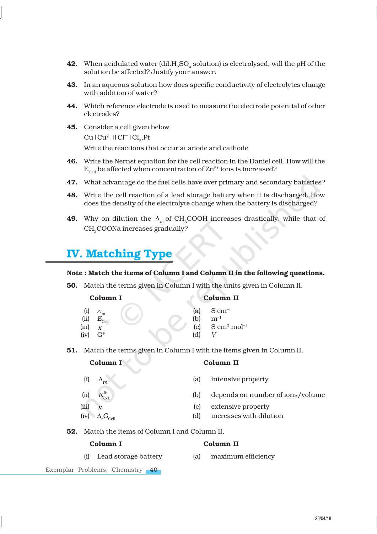- **42.** When acidulated water (dil. $H_2SO_4$  solution) is electrolysed, will the pH of the solution be affected? Justify your answer.
- 43. In an aqueous solution how does specific conductivity of electrolytes change with addition of water?
- 44. Which reference electrode is used to measure the electrode potential of other electrodes?
- 45. Consider a cell given below  $Cu$  |  $Cu^{2+}$  | |  $Cl^{-}$  |  $Cl_2$ , Pt Write the reactions that occur at anode and cathode
- 46. Write the Nernst equation for the cell reaction in the Daniel cell. How will the  $E_{\text{cell}}$  be affected when concentration of  $\text{Zn}^{2+}$  ions is increased?
- 47. What advantage do the fuel cells have over primary and secondary batteries?
- 48. Write the cell reaction of a lead storage battery when it is discharged. How does the density of the electrolyte change when the battery is discharged?
- **49.** Why on dilution the  $\Lambda_m$  of CH<sub>3</sub>COOH increases drastically, while that of CH<sub>2</sub>COONa increases gradually?

# IV. Matching Type

### Note : Match the items of Column I and Column II in the following questions.

50. Match the terms given in Column I with the units given in Column II.

| Column I |  | Column II               |
|----------|--|-------------------------|
|          |  | (a) $S \text{ cm}^{-1}$ |

| (i)   | `m                     |  |     | (a) $S \text{ cm}^{-1}$         |
|-------|------------------------|--|-----|---------------------------------|
|       | (ii) $E_{\text{cell}}$ |  | (b) | $m^{-1}$                        |
| (iii) | $\kappa$               |  |     | (c) $\rm S \, cm^2 \, mol^{-1}$ |
|       | $(iv)$ $G^*$           |  | (d) |                                 |

51. Match the terms given in Column I with the items given in Column II.

| (i)   | m                                             |
|-------|-----------------------------------------------|
| (ii)  | $\textbf{\textit{E}}_{\text{cell}}^{\ominus}$ |
| (iii) | ĸ                                             |
| (iv)  | $\Delta_{\rm r} G_{\rm cell}$                 |

Column I Column II

- (a) intensive property (b) depends on number of ions/volume
- (c) extensive property
- (d) increases with dilution
- 52. Match the items of Column I and Column II.

### Column I Column II

- 
- (i) Lead storage battery (a) maximum efficiency
- Exemplar Problems, Chemistry 40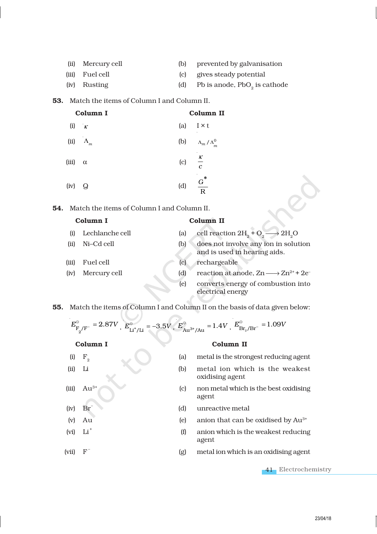| (ii) Mercury cell | (b) | prevented by galvanisation               |
|-------------------|-----|------------------------------------------|
| (iii) Fuel cell   |     | (c) gives steady potential               |
| (iv) Rusting      | (d) | Pb is anode, PbO <sub>2</sub> is cathode |

### 53. Match the items of Column I and Column II.

| Column I |                  | Column II         |                               |  |
|----------|------------------|-------------------|-------------------------------|--|
| (i)      | $\kappa$         |                   | (a) $I \times t$              |  |
|          | (ii) $\Lambda_m$ |                   | (b) $\Lambda_m / \Lambda_m^0$ |  |
| (iii)    | $\alpha$         | (c) $\frac{K}{c}$ |                               |  |
| (iv)     | Q                | (d)               | ∗<br>$\frac{G}{R}$            |  |

54. Match the items of Column I and Column II.

# Column I Column II (i) Lechlanche cell (a) cell reaction  $2H_2 + O_2$  $\rightarrow$  2H<sub>2</sub>O (ii) Ni–Cd cell (b) does not involve any ion in solution and is used in hearing aids. (iii) Fuel cell (c) rechargeable (iv) Mercury cell (d) reaction at anode,  $Zn \longrightarrow Zn^{2+} + 2e^-$ (e) converts energy of combustion into electrical energy

55. Match the items of Column I and Column II on the basis of data given below:

$$
E_{F_2/F^-}^{\circ} = 2.87V
$$
,  $E_{Li^+/Li}^{\circ} = -3.5V$ ,  $E_{Au^{3+}/Au}^{\circ} = 1.4V$ ,  $E_{Br_2/Br^-}^{\circ} = 1.09V$ 

# Column I Column II

 $(iv)$ 

 $(vi)$ 

(vii) F –

Br<sup>1</sup>

 $Li<sup>+</sup>$ 

- (i)  $F<sub>2</sub>$ (a) metal is the strongest reducing agent (ii) Li (b) metal ion which is the weakest oxidising agent
- (iii)  $Au^{3+}$  (c) non metal which is the best oxidising agent
	- (d) unreactive metal
- (v) Au (e) anion that can be oxidised by Au3+
	- (f) anion which is the weakest reducing agent
		- (g) metal ion which is an oxidising agent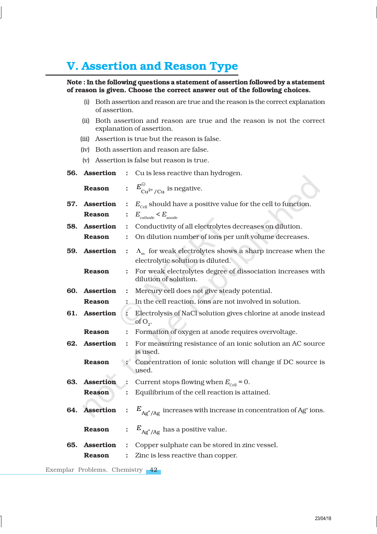# V. Assertion and Reason Type

# Note : In the following questions a statement of assertion followed by a statement of reason is given. Choose the correct answer out of the following choices.

- (i) Both assertion and reason are true and the reason is the correct explanation of assertion.
- (ii) Both assertion and reason are true and the reason is not the correct explanation of assertion.
- (iii) Assertion is true but the reason is false.
- (iv) Both assertion and reason are false.
- (v) Assertion is false but reason is true.

|     | 56. Assertion    | :                    | Cu is less reactive than hydrogen.                                                                     |
|-----|------------------|----------------------|--------------------------------------------------------------------------------------------------------|
|     | <b>Reason</b>    |                      | $E_{\text{Cu}^{2+}/\text{Cu}}^{\oplus}$ is negative.                                                   |
| 57. | <b>Assertion</b> | $\ddot{\cdot}$       | $E_{\text{cell}}$ should have a positive value for the cell to function.                               |
|     | <b>Reason</b>    | $\ddot{\cdot}$       | $E_{\text{cathode}} < E_{\text{anode}}$                                                                |
|     | 58. Assertion    | $\ddot{\cdot}$       | Conductivity of all electrolytes decreases on dilution.                                                |
|     | <b>Reason</b>    | $\ddot{\cdot}$       | On dilution number of ions per unit volume decreases.                                                  |
|     | 59. Assertion    | $\ddot{\cdot}$       | $\Lambda_m$ for weak electrolytes shows a sharp increase when the<br>electrolytic solution is diluted. |
|     | <b>Reason</b>    | $\ddot{\cdot}$       | For weak electrolytes degree of dissociation increases with<br>dilution of solution.                   |
|     | 60. Assertion    | $\ddot{\cdot}$       | Mercury cell does not give steady potential.                                                           |
|     | <b>Reason</b>    |                      | In the cell reaction, ions are not involved in solution.                                               |
|     | 61. Assertion    | $\ddot{\cdot}$       | Electrolysis of NaCl solution gives chlorine at anode instead<br>of $O_2$ .                            |
|     | <b>Reason</b>    | $\ddot{\cdot}$       | Formation of oxygen at anode requires overvoltage.                                                     |
|     | 62. Assertion    | $\ddot{\cdot}$       | For measuring resistance of an ionic solution an AC source<br>is used.                                 |
|     | <b>Reason</b>    |                      | Concentration of ionic solution will change if DC source is<br>used.                                   |
| 63. | <b>Assertion</b> | $\ddot{\cdot}$       | Current stops flowing when $E_{\text{cell}} = 0$ .                                                     |
|     | <b>Reason</b>    | $\ddot{\cdot}$       | Equilibrium of the cell reaction is attained.                                                          |
|     | 64. Assertion    | $\ddot{\cdot}$       | $E_{\text{Ag}^+/\text{Ag}}$ increases with increase in concentration of Ag <sup>+</sup> ions.          |
|     | <b>Reason</b>    |                      | : $E_{Ag^+/Ag}$ has a positive value.                                                                  |
| 65. | <b>Assertion</b> | $\ddot{\cdot}$       | Copper sulphate can be stored in zinc vessel.                                                          |
|     | <b>Reason</b>    | $\ddot{\phantom{0}}$ | Zinc is less reactive than copper.                                                                     |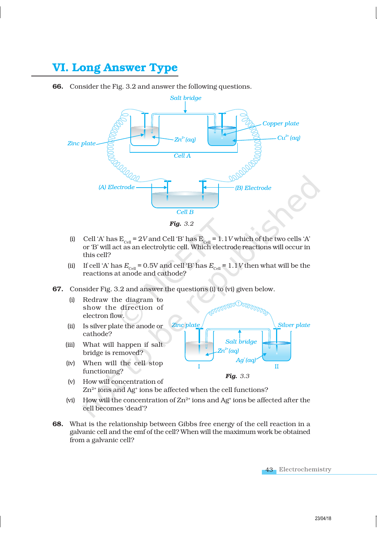# VI. Long Answer Type

66. Consider the Fig. 3.2 and answer the following questions.



- (i) Cell 'A' has  $E_{\text{Cell}} = 2V$  and Cell 'B' has  $E_{\text{Cell}} = 1.1V$  which of the two cells 'A' or 'B' will act as an electrolytic cell. Which electrode reactions will occur in this cell?
- (ii) If cell 'A' has  $E_{\text{cell}} = 0.5V$  and cell 'B' has  $E_{\text{cell}} = 1.1V$  then what will be the reactions at anode and cathode?
- 67. Consider Fig. 3.2 and answer the questions (i) to (vi) given below.
	- (i) Redraw the diagram to show the direction of electron flow.
	- (ii) Is silver plate the anode or cathode?
	- (iii) What will happen if salt bridge is removed?
	- (iv) When will the cell stop functioning?



- (v) How will concentration of  $\rm Zn^{2+}$  ions and Ag $^*$  ions be affected when the cell functions?
- (vi) How will the concentration of  $Zn^{2+}$  ions and Ag<sup>+</sup> ions be affected after the cell becomes 'dead'?
- 68. What is the relationship between Gibbs free energy of the cell reaction in a galvanic cell and the emf of the cell? When will the maximum work be obtained from a galvanic cell?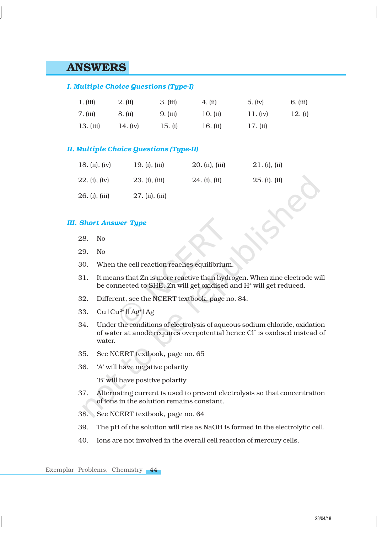# ANSWERS

# *I. Multiple Choice Questions (Type-I)*

| 1. (iii)    | 2. (ii)  | $3.$ (iii) | 4. (ii)  | 5. (iv)    | 6. (iii) |
|-------------|----------|------------|----------|------------|----------|
| 7. (iii)    | 8. (ii)  | 9. (iii)   | 10. (ii) | 11. (iv)   | 12. (i)  |
| $13.$ (iii) | 14. (iv) | 15. (i)    | 16. (ii) | $17.$ (ii) |          |

# *II. Multiple Choice Questions (Type-II)*

| 18. (ii), (iv) | $19. (i)$ , $(iii)$ | 20. (ii), (iii) | 21. (i), (ii) |  |
|----------------|---------------------|-----------------|---------------|--|
| 22. (i), (iv)  | 23. (i), (iii)      | 24. (i), (ii)   | 25. (i), (ii) |  |
| 26. (i), (iii) | 27. (ii), (iii)     |                 |               |  |

### *III. Short Answer Type*

- 28. No
- 29. No
- 30. When the cell reaction reaches equilibrium.
- 31. It means that Zn is more reactive than hydrogen. When zinc electrode will be connected to SHE, Zn will get oxidised and H<sup>+</sup> will get reduced.
- 32. Different, see the NCERT textbook, page no. 84.
- 33.  $Cu|Cu^{2+}||Ag^{+}|Ag$
- 34. Under the conditions of electrolysis of aqueous sodium chloride, oxidation of water at anode requires overpotential hence Cl – is oxidised instead of water.
- 35. See NCERT textbook, page no. 65
- 36. 'A' will have negative polarity

'B' will have positive polarity

- 37. Alternating current is used to prevent electrolysis so that concentration of ions in the solution remains constant.
- 38. See NCERT textbook, page no. 64
- 39. The pH of the solution will rise as NaOH is formed in the electrolytic cell.
- 40. Ions are not involved in the overall cell reaction of mercury cells.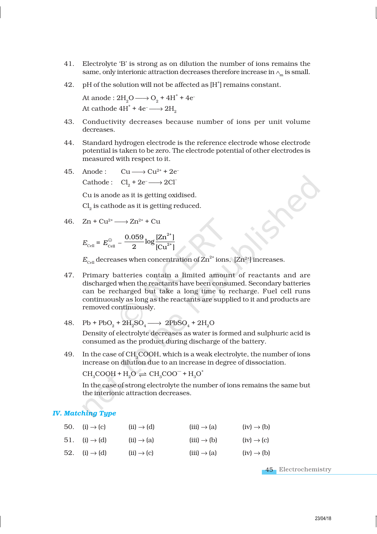- 41. Electrolyte 'B' is strong as on dilution the number of ions remains the same, only interionic attraction decreases therefore increase in  $\wedge_{\mathbf{m}}$  is small.
- $42.$  pH of the solution will not be affected as [H $^{\dagger}$ ] remains constant.

At anode :  $2H_2O \longrightarrow O_2 + 4H^+ + 4e^-$ At cathode  $4H^+ + 4e^- \longrightarrow 2H_p$ 

- 43. Conductivity decreases because number of ions per unit volume decreases.
- 44. Standard hydrogen electrode is the reference electrode whose electrode potential is taken to be zero. The electrode potential of other electrodes is measured with respect to it.
- 45. Anode:  $Cu \longrightarrow Cu^{2+} + 2e^{-}$ Cathode:  $Cl_2 + 2e^- \longrightarrow 2Cl^-$

Cu is anode as it is getting oxidised.

 $\mathrm{Cl}_2$  is cathode as it is getting reduced.

46. 
$$
Zn + Cu^{2+} \longrightarrow Zn^{2+} + Cu
$$

$$
E_{\text{cell}} = E_{\text{cell}}^{\ominus} - \frac{0.059}{2} \log \frac{[\text{Zn}^{2+}]}{[\text{Cu}^{2+}]}
$$

 $E_{\text{cell}}$  decreases when concentration of  $\text{Zn}^{2+}$  ions,  $[\text{Zn}^{2+}]$  increases.

- 47. Primary batteries contain a limited amount of reactants and are discharged when the reactants have been consumed. Secondary batteries can be recharged but take a long time to recharge. Fuel cell runs continuously as long as the reactants are supplied to it and products are removed continuously.
- 48. Pb + PbO<sub>2</sub> +  $2H_2SO_4 \longrightarrow 2PbSO_4 + 2H_2O$

Density of electrolyte decreases as water is formed and sulphuric acid is consumed as the product during discharge of the battery.

49. In the case of CH<sub>3</sub>COOH, which is a weak electrolyte, the number of ions increase on dilution due to an increase in degree of dissociation.

 $CH<sub>3</sub>COOH + H<sub>2</sub>O \rightleftharpoons CH<sub>3</sub>COO<sup>-</sup> + H<sub>3</sub>O<sup>+</sup>$ 

In the case of strong electrolyte the number of ions remains the same but the interionic attraction decreases.

### *IV. Matching Type*

| 50. (i) $\rightarrow$ (c) | $(ii) \rightarrow (d)$ | $(iii) \rightarrow (a)$ | $(iv) \rightarrow (b)$ |
|---------------------------|------------------------|-------------------------|------------------------|
| 51. $(i) \rightarrow (d)$ | $(ii) \rightarrow (a)$ | $(iii) \rightarrow (b)$ | $(iv) \rightarrow (c)$ |
| 52. (i) $\rightarrow$ (d) | $(ii) \rightarrow (c)$ | $(iii) \rightarrow (a)$ | $(iv) \rightarrow (b)$ |